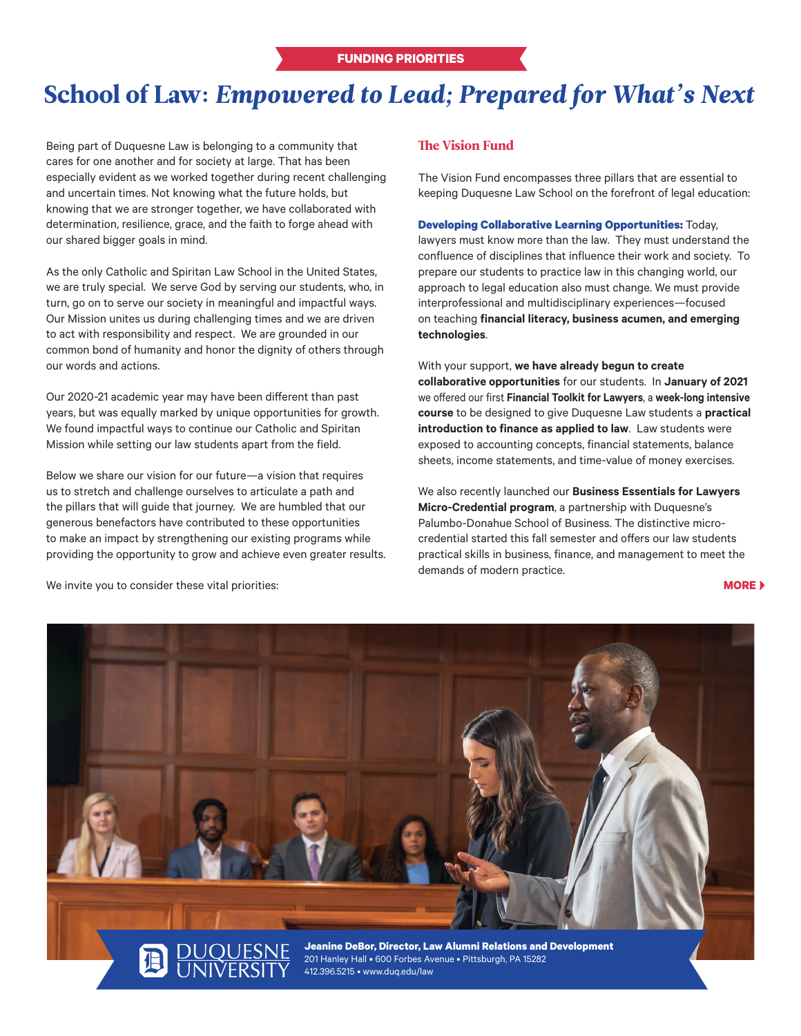## School of Law: *Empowered to Lead; Prepared for What's Next*

Being part of Duquesne Law is belonging to a community that cares for one another and for society at large. That has been especially evident as we worked together during recent challenging and uncertain times. Not knowing what the future holds, but knowing that we are stronger together, we have collaborated with determination, resilience, grace, and the faith to forge ahead with our shared bigger goals in mind.

As the only Catholic and Spiritan Law School in the United States, we are truly special. We serve God by serving our students, who, in turn, go on to serve our society in meaningful and impactful ways. Our Mission unites us during challenging times and we are driven to act with responsibility and respect. We are grounded in our common bond of humanity and honor the dignity of others through our words and actions.

Our 2020-21 academic year may have been different than past years, but was equally marked by unique opportunities for growth. We found impactful ways to continue our Catholic and Spiritan Mission while setting our law students apart from the field.

Below we share our vision for our future—a vision that requires us to stretch and challenge ourselves to articulate a path and the pillars that will guide that journey. We are humbled that our generous benefactors have contributed to these opportunities to make an impact by strengthening our existing programs while providing the opportunity to grow and achieve even greater results.

## The Vision Fund

The Vision Fund encompasses three pillars that are essential to keeping Duquesne Law School on the forefront of legal education:

**Developing Collaborative Learning Opportunities:** Today, lawyers must know more than the law. They must understand the confluence of disciplines that influence their work and society. To prepare our students to practice law in this changing world, our approach to legal education also must change. We must provide interprofessional and multidisciplinary experiences—focused on teaching **financial literacy, business acumen, and emerging technologies**.

With your support, **we have already begun to create collaborative opportunities** for our students. In **January of 2021** we offered our first **Financial Toolkit for Lawyers**, a **week-long intensive course** to be designed to give Duquesne Law students a **practical introduction to finance as applied to law**. Law students were exposed to accounting concepts, financial statements, balance sheets, income statements, and time-value of money exercises.

We also recently launched our **Business Essentials for Lawyers Micro-Credential program**, a partnership with Duquesne's Palumbo-Donahue School of Business. The distinctive microcredential started this fall semester and offers our law students practical skills in business, finance, and management to meet the demands of modern practice.

**MORE**



We invite you to consider these vital priorities: